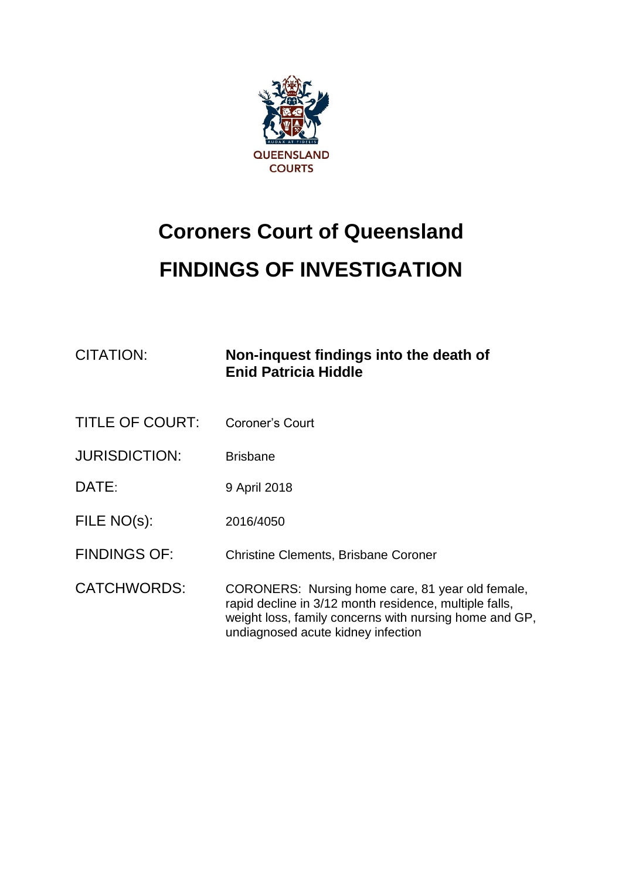

# **Coroners Court of Queensland FINDINGS OF INVESTIGATION**

| <b>CITATION:</b>       | Non-inquest findings into the death of<br><b>Enid Patricia Hiddle</b>                                                                                                                                      |
|------------------------|------------------------------------------------------------------------------------------------------------------------------------------------------------------------------------------------------------|
| <b>TITLE OF COURT:</b> | Coroner's Court                                                                                                                                                                                            |
| <b>JURISDICTION:</b>   | <b>Brisbane</b>                                                                                                                                                                                            |
| DATE:                  | 9 April 2018                                                                                                                                                                                               |
| FILE NO(s):            | 2016/4050                                                                                                                                                                                                  |
| <b>FINDINGS OF:</b>    | <b>Christine Clements, Brisbane Coroner</b>                                                                                                                                                                |
| <b>CATCHWORDS:</b>     | CORONERS: Nursing home care, 81 year old female,<br>rapid decline in 3/12 month residence, multiple falls,<br>weight loss, family concerns with nursing home and GP,<br>undiagnosed acute kidney infection |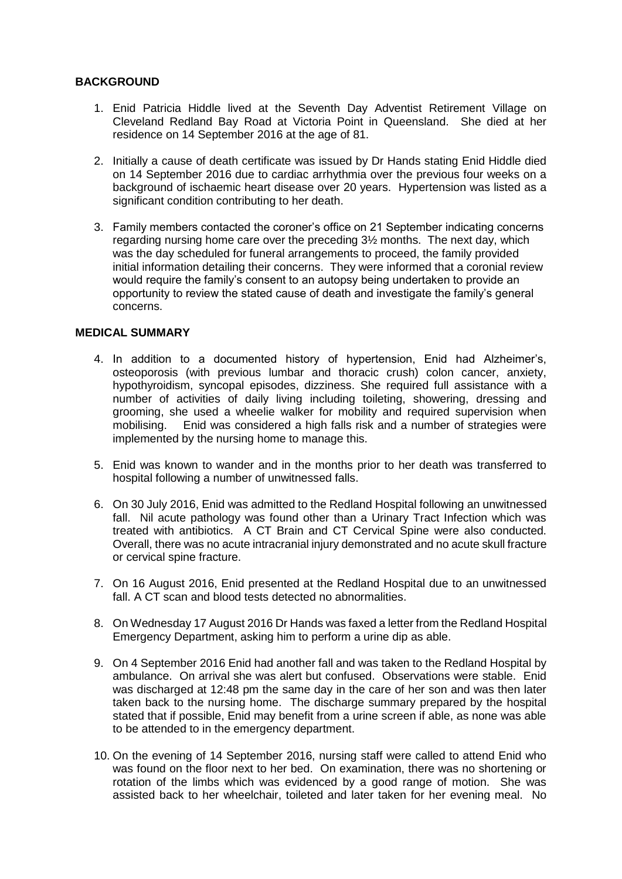# **BACKGROUND**

- 1. Enid Patricia Hiddle lived at the Seventh Day Adventist Retirement Village on Cleveland Redland Bay Road at Victoria Point in Queensland. She died at her residence on 14 September 2016 at the age of 81.
- 2. Initially a cause of death certificate was issued by Dr Hands stating Enid Hiddle died on 14 September 2016 due to cardiac arrhythmia over the previous four weeks on a background of ischaemic heart disease over 20 years. Hypertension was listed as a significant condition contributing to her death.
- 3. Family members contacted the coroner's office on 21 September indicating concerns regarding nursing home care over the preceding 3½ months. The next day, which was the day scheduled for funeral arrangements to proceed, the family provided initial information detailing their concerns. They were informed that a coronial review would require the family's consent to an autopsy being undertaken to provide an opportunity to review the stated cause of death and investigate the family's general concerns.

## **MEDICAL SUMMARY**

- 4. In addition to a documented history of hypertension, Enid had Alzheimer's, osteoporosis (with previous lumbar and thoracic crush) colon cancer, anxiety, hypothyroidism, syncopal episodes, dizziness. She required full assistance with a number of activities of daily living including toileting, showering, dressing and grooming, she used a wheelie walker for mobility and required supervision when mobilising. Enid was considered a high falls risk and a number of strategies were implemented by the nursing home to manage this.
- 5. Enid was known to wander and in the months prior to her death was transferred to hospital following a number of unwitnessed falls.
- 6. On 30 July 2016, Enid was admitted to the Redland Hospital following an unwitnessed fall. Nil acute pathology was found other than a Urinary Tract Infection which was treated with antibiotics. A CT Brain and CT Cervical Spine were also conducted. Overall, there was no acute intracranial injury demonstrated and no acute skull fracture or cervical spine fracture.
- 7. On 16 August 2016, Enid presented at the Redland Hospital due to an unwitnessed fall. A CT scan and blood tests detected no abnormalities.
- 8. On Wednesday 17 August 2016 Dr Hands was faxed a letter from the Redland Hospital Emergency Department, asking him to perform a urine dip as able.
- 9. On 4 September 2016 Enid had another fall and was taken to the Redland Hospital by ambulance. On arrival she was alert but confused. Observations were stable. Enid was discharged at 12:48 pm the same day in the care of her son and was then later taken back to the nursing home. The discharge summary prepared by the hospital stated that if possible, Enid may benefit from a urine screen if able, as none was able to be attended to in the emergency department.
- 10. On the evening of 14 September 2016, nursing staff were called to attend Enid who was found on the floor next to her bed. On examination, there was no shortening or rotation of the limbs which was evidenced by a good range of motion. She was assisted back to her wheelchair, toileted and later taken for her evening meal. No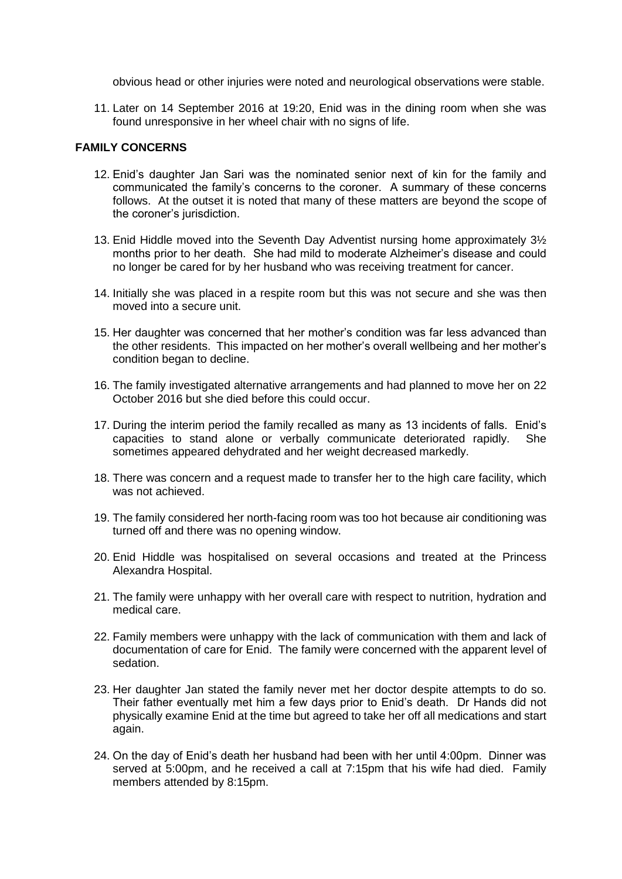obvious head or other injuries were noted and neurological observations were stable.

11. Later on 14 September 2016 at 19:20, Enid was in the dining room when she was found unresponsive in her wheel chair with no signs of life.

#### **FAMILY CONCERNS**

- 12. Enid's daughter Jan Sari was the nominated senior next of kin for the family and communicated the family's concerns to the coroner. A summary of these concerns follows. At the outset it is noted that many of these matters are beyond the scope of the coroner's jurisdiction.
- 13. Enid Hiddle moved into the Seventh Day Adventist nursing home approximately 3½ months prior to her death. She had mild to moderate Alzheimer's disease and could no longer be cared for by her husband who was receiving treatment for cancer.
- 14. Initially she was placed in a respite room but this was not secure and she was then moved into a secure unit.
- 15. Her daughter was concerned that her mother's condition was far less advanced than the other residents. This impacted on her mother's overall wellbeing and her mother's condition began to decline.
- 16. The family investigated alternative arrangements and had planned to move her on 22 October 2016 but she died before this could occur.
- 17. During the interim period the family recalled as many as 13 incidents of falls. Enid's capacities to stand alone or verbally communicate deteriorated rapidly. She sometimes appeared dehydrated and her weight decreased markedly.
- 18. There was concern and a request made to transfer her to the high care facility, which was not achieved.
- 19. The family considered her north-facing room was too hot because air conditioning was turned off and there was no opening window.
- 20. Enid Hiddle was hospitalised on several occasions and treated at the Princess Alexandra Hospital.
- 21. The family were unhappy with her overall care with respect to nutrition, hydration and medical care.
- 22. Family members were unhappy with the lack of communication with them and lack of documentation of care for Enid. The family were concerned with the apparent level of sedation.
- 23. Her daughter Jan stated the family never met her doctor despite attempts to do so. Their father eventually met him a few days prior to Enid's death. Dr Hands did not physically examine Enid at the time but agreed to take her off all medications and start again.
- 24. On the day of Enid's death her husband had been with her until 4:00pm. Dinner was served at 5:00pm, and he received a call at 7:15pm that his wife had died. Family members attended by 8:15pm.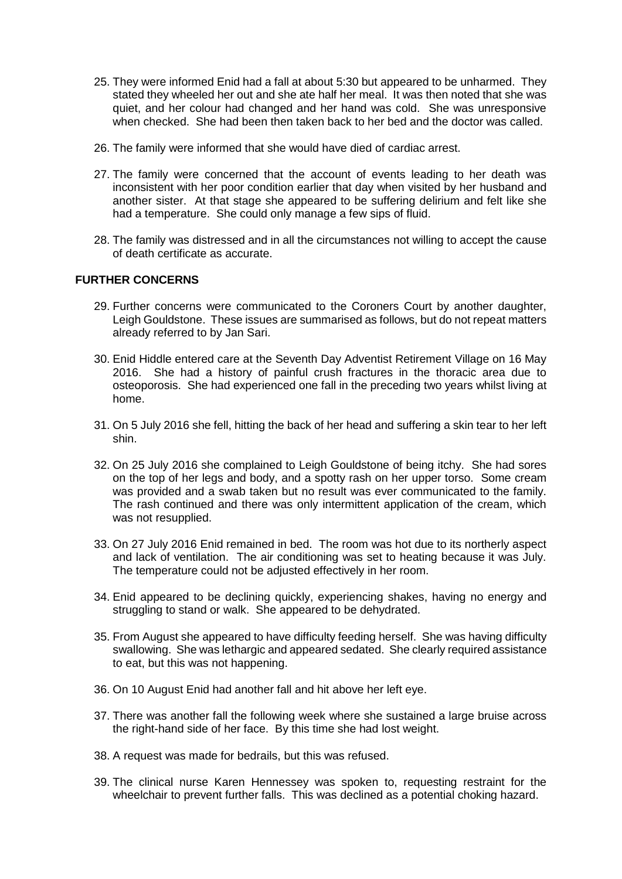- 25. They were informed Enid had a fall at about 5:30 but appeared to be unharmed. They stated they wheeled her out and she ate half her meal. It was then noted that she was quiet, and her colour had changed and her hand was cold. She was unresponsive when checked. She had been then taken back to her bed and the doctor was called.
- 26. The family were informed that she would have died of cardiac arrest.
- 27. The family were concerned that the account of events leading to her death was inconsistent with her poor condition earlier that day when visited by her husband and another sister. At that stage she appeared to be suffering delirium and felt like she had a temperature. She could only manage a few sips of fluid.
- 28. The family was distressed and in all the circumstances not willing to accept the cause of death certificate as accurate.

#### **FURTHER CONCERNS**

- 29. Further concerns were communicated to the Coroners Court by another daughter, Leigh Gouldstone. These issues are summarised as follows, but do not repeat matters already referred to by Jan Sari.
- 30. Enid Hiddle entered care at the Seventh Day Adventist Retirement Village on 16 May 2016. She had a history of painful crush fractures in the thoracic area due to osteoporosis. She had experienced one fall in the preceding two years whilst living at home.
- 31. On 5 July 2016 she fell, hitting the back of her head and suffering a skin tear to her left shin.
- 32. On 25 July 2016 she complained to Leigh Gouldstone of being itchy. She had sores on the top of her legs and body, and a spotty rash on her upper torso. Some cream was provided and a swab taken but no result was ever communicated to the family. The rash continued and there was only intermittent application of the cream, which was not resupplied.
- 33. On 27 July 2016 Enid remained in bed. The room was hot due to its northerly aspect and lack of ventilation. The air conditioning was set to heating because it was July. The temperature could not be adjusted effectively in her room.
- 34. Enid appeared to be declining quickly, experiencing shakes, having no energy and struggling to stand or walk. She appeared to be dehydrated.
- 35. From August she appeared to have difficulty feeding herself. She was having difficulty swallowing. She was lethargic and appeared sedated. She clearly required assistance to eat, but this was not happening.
- 36. On 10 August Enid had another fall and hit above her left eye.
- 37. There was another fall the following week where she sustained a large bruise across the right-hand side of her face. By this time she had lost weight.
- 38. A request was made for bedrails, but this was refused.
- 39. The clinical nurse Karen Hennessey was spoken to, requesting restraint for the wheelchair to prevent further falls. This was declined as a potential choking hazard.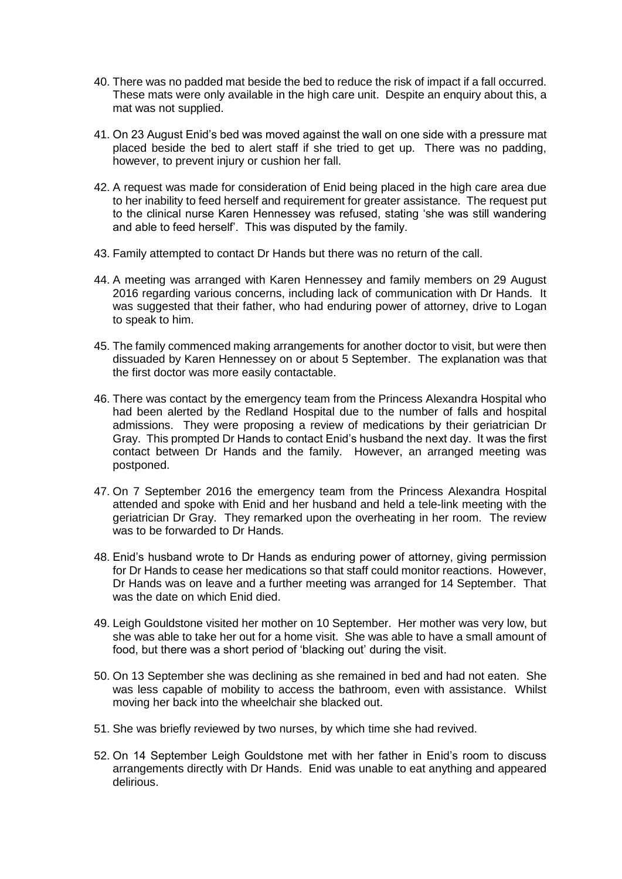- 40. There was no padded mat beside the bed to reduce the risk of impact if a fall occurred. These mats were only available in the high care unit. Despite an enquiry about this, a mat was not supplied.
- 41. On 23 August Enid's bed was moved against the wall on one side with a pressure mat placed beside the bed to alert staff if she tried to get up. There was no padding, however, to prevent injury or cushion her fall.
- 42. A request was made for consideration of Enid being placed in the high care area due to her inability to feed herself and requirement for greater assistance. The request put to the clinical nurse Karen Hennessey was refused, stating 'she was still wandering and able to feed herself'. This was disputed by the family.
- 43. Family attempted to contact Dr Hands but there was no return of the call.
- 44. A meeting was arranged with Karen Hennessey and family members on 29 August 2016 regarding various concerns, including lack of communication with Dr Hands. It was suggested that their father, who had enduring power of attorney, drive to Logan to speak to him.
- 45. The family commenced making arrangements for another doctor to visit, but were then dissuaded by Karen Hennessey on or about 5 September. The explanation was that the first doctor was more easily contactable.
- 46. There was contact by the emergency team from the Princess Alexandra Hospital who had been alerted by the Redland Hospital due to the number of falls and hospital admissions. They were proposing a review of medications by their geriatrician Dr Gray. This prompted Dr Hands to contact Enid's husband the next day. It was the first contact between Dr Hands and the family. However, an arranged meeting was postponed.
- 47. On 7 September 2016 the emergency team from the Princess Alexandra Hospital attended and spoke with Enid and her husband and held a tele-link meeting with the geriatrician Dr Gray. They remarked upon the overheating in her room. The review was to be forwarded to Dr Hands.
- 48. Enid's husband wrote to Dr Hands as enduring power of attorney, giving permission for Dr Hands to cease her medications so that staff could monitor reactions. However, Dr Hands was on leave and a further meeting was arranged for 14 September. That was the date on which Enid died.
- 49. Leigh Gouldstone visited her mother on 10 September. Her mother was very low, but she was able to take her out for a home visit. She was able to have a small amount of food, but there was a short period of 'blacking out' during the visit.
- 50. On 13 September she was declining as she remained in bed and had not eaten. She was less capable of mobility to access the bathroom, even with assistance. Whilst moving her back into the wheelchair she blacked out.
- 51. She was briefly reviewed by two nurses, by which time she had revived.
- 52. On 14 September Leigh Gouldstone met with her father in Enid's room to discuss arrangements directly with Dr Hands. Enid was unable to eat anything and appeared delirious.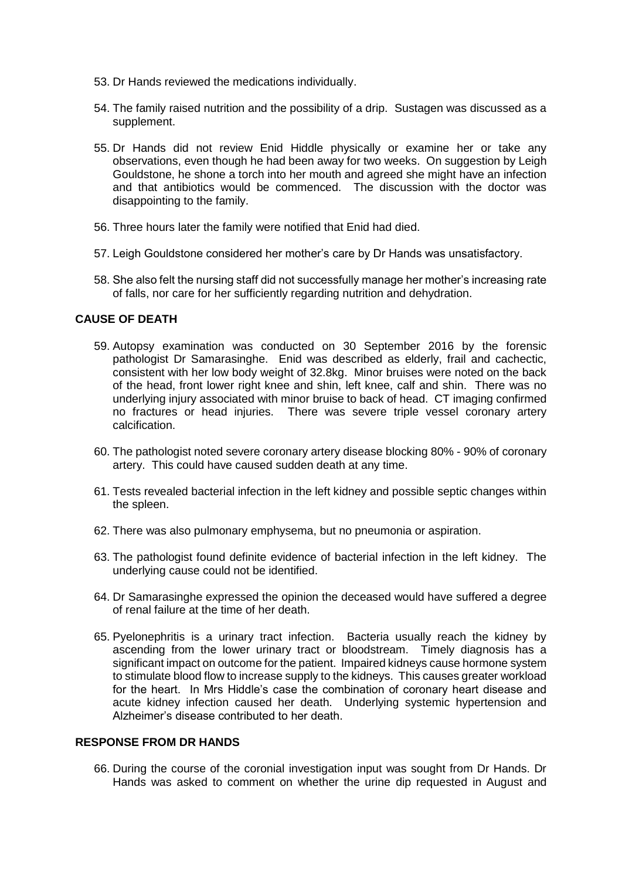- 53. Dr Hands reviewed the medications individually.
- 54. The family raised nutrition and the possibility of a drip. Sustagen was discussed as a supplement.
- 55. Dr Hands did not review Enid Hiddle physically or examine her or take any observations, even though he had been away for two weeks. On suggestion by Leigh Gouldstone, he shone a torch into her mouth and agreed she might have an infection and that antibiotics would be commenced. The discussion with the doctor was disappointing to the family.
- 56. Three hours later the family were notified that Enid had died.
- 57. Leigh Gouldstone considered her mother's care by Dr Hands was unsatisfactory.
- 58. She also felt the nursing staff did not successfully manage her mother's increasing rate of falls, nor care for her sufficiently regarding nutrition and dehydration.

## **CAUSE OF DEATH**

- 59. Autopsy examination was conducted on 30 September 2016 by the forensic pathologist Dr Samarasinghe. Enid was described as elderly, frail and cachectic, consistent with her low body weight of 32.8kg. Minor bruises were noted on the back of the head, front lower right knee and shin, left knee, calf and shin. There was no underlying injury associated with minor bruise to back of head. CT imaging confirmed no fractures or head injuries. There was severe triple vessel coronary artery calcification.
- 60. The pathologist noted severe coronary artery disease blocking 80% 90% of coronary artery. This could have caused sudden death at any time.
- 61. Tests revealed bacterial infection in the left kidney and possible septic changes within the spleen.
- 62. There was also pulmonary emphysema, but no pneumonia or aspiration.
- 63. The pathologist found definite evidence of bacterial infection in the left kidney. The underlying cause could not be identified.
- 64. Dr Samarasinghe expressed the opinion the deceased would have suffered a degree of renal failure at the time of her death.
- 65. Pyelonephritis is a urinary tract infection. Bacteria usually reach the kidney by ascending from the lower urinary tract or bloodstream. Timely diagnosis has a significant impact on outcome for the patient. Impaired kidneys cause hormone system to stimulate blood flow to increase supply to the kidneys. This causes greater workload for the heart. In Mrs Hiddle's case the combination of coronary heart disease and acute kidney infection caused her death. Underlying systemic hypertension and Alzheimer's disease contributed to her death.

## **RESPONSE FROM DR HANDS**

66. During the course of the coronial investigation input was sought from Dr Hands. Dr Hands was asked to comment on whether the urine dip requested in August and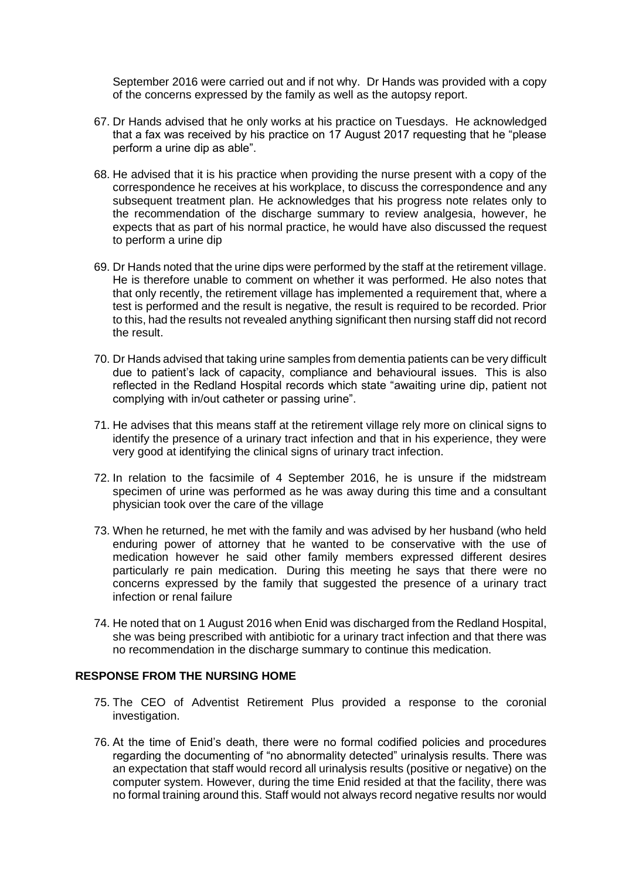September 2016 were carried out and if not why. Dr Hands was provided with a copy of the concerns expressed by the family as well as the autopsy report.

- 67. Dr Hands advised that he only works at his practice on Tuesdays. He acknowledged that a fax was received by his practice on 17 August 2017 requesting that he "please perform a urine dip as able".
- 68. He advised that it is his practice when providing the nurse present with a copy of the correspondence he receives at his workplace, to discuss the correspondence and any subsequent treatment plan. He acknowledges that his progress note relates only to the recommendation of the discharge summary to review analgesia, however, he expects that as part of his normal practice, he would have also discussed the request to perform a urine dip
- 69. Dr Hands noted that the urine dips were performed by the staff at the retirement village. He is therefore unable to comment on whether it was performed. He also notes that that only recently, the retirement village has implemented a requirement that, where a test is performed and the result is negative, the result is required to be recorded. Prior to this, had the results not revealed anything significant then nursing staff did not record the result.
- 70. Dr Hands advised that taking urine samples from dementia patients can be very difficult due to patient's lack of capacity, compliance and behavioural issues. This is also reflected in the Redland Hospital records which state "awaiting urine dip, patient not complying with in/out catheter or passing urine".
- 71. He advises that this means staff at the retirement village rely more on clinical signs to identify the presence of a urinary tract infection and that in his experience, they were very good at identifying the clinical signs of urinary tract infection.
- 72. In relation to the facsimile of 4 September 2016, he is unsure if the midstream specimen of urine was performed as he was away during this time and a consultant physician took over the care of the village
- 73. When he returned, he met with the family and was advised by her husband (who held enduring power of attorney that he wanted to be conservative with the use of medication however he said other family members expressed different desires particularly re pain medication. During this meeting he says that there were no concerns expressed by the family that suggested the presence of a urinary tract infection or renal failure
- 74. He noted that on 1 August 2016 when Enid was discharged from the Redland Hospital, she was being prescribed with antibiotic for a urinary tract infection and that there was no recommendation in the discharge summary to continue this medication.

#### **RESPONSE FROM THE NURSING HOME**

- 75. The CEO of Adventist Retirement Plus provided a response to the coronial investigation.
- 76. At the time of Enid's death, there were no formal codified policies and procedures regarding the documenting of "no abnormality detected" urinalysis results. There was an expectation that staff would record all urinalysis results (positive or negative) on the computer system. However, during the time Enid resided at that the facility, there was no formal training around this. Staff would not always record negative results nor would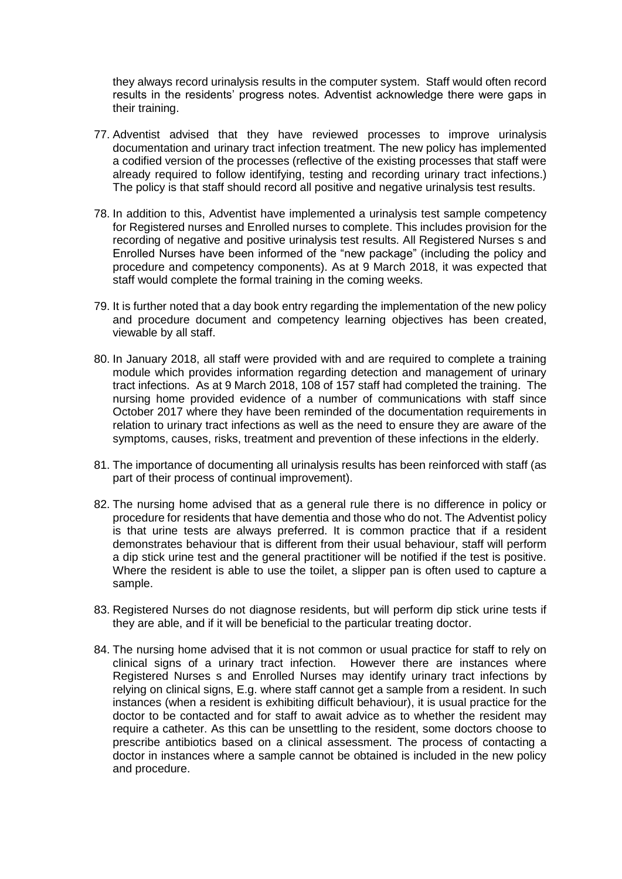they always record urinalysis results in the computer system. Staff would often record results in the residents' progress notes. Adventist acknowledge there were gaps in their training.

- 77. Adventist advised that they have reviewed processes to improve urinalysis documentation and urinary tract infection treatment. The new policy has implemented a codified version of the processes (reflective of the existing processes that staff were already required to follow identifying, testing and recording urinary tract infections.) The policy is that staff should record all positive and negative urinalysis test results.
- 78. In addition to this, Adventist have implemented a urinalysis test sample competency for Registered nurses and Enrolled nurses to complete. This includes provision for the recording of negative and positive urinalysis test results. All Registered Nurses s and Enrolled Nurses have been informed of the "new package" (including the policy and procedure and competency components). As at 9 March 2018, it was expected that staff would complete the formal training in the coming weeks.
- 79. It is further noted that a day book entry regarding the implementation of the new policy and procedure document and competency learning objectives has been created, viewable by all staff.
- 80. In January 2018, all staff were provided with and are required to complete a training module which provides information regarding detection and management of urinary tract infections. As at 9 March 2018, 108 of 157 staff had completed the training. The nursing home provided evidence of a number of communications with staff since October 2017 where they have been reminded of the documentation requirements in relation to urinary tract infections as well as the need to ensure they are aware of the symptoms, causes, risks, treatment and prevention of these infections in the elderly.
- 81. The importance of documenting all urinalysis results has been reinforced with staff (as part of their process of continual improvement).
- 82. The nursing home advised that as a general rule there is no difference in policy or procedure for residents that have dementia and those who do not. The Adventist policy is that urine tests are always preferred. It is common practice that if a resident demonstrates behaviour that is different from their usual behaviour, staff will perform a dip stick urine test and the general practitioner will be notified if the test is positive. Where the resident is able to use the toilet, a slipper pan is often used to capture a sample.
- 83. Registered Nurses do not diagnose residents, but will perform dip stick urine tests if they are able, and if it will be beneficial to the particular treating doctor.
- 84. The nursing home advised that it is not common or usual practice for staff to rely on clinical signs of a urinary tract infection. However there are instances where Registered Nurses s and Enrolled Nurses may identify urinary tract infections by relying on clinical signs, E.g. where staff cannot get a sample from a resident. In such instances (when a resident is exhibiting difficult behaviour), it is usual practice for the doctor to be contacted and for staff to await advice as to whether the resident may require a catheter. As this can be unsettling to the resident, some doctors choose to prescribe antibiotics based on a clinical assessment. The process of contacting a doctor in instances where a sample cannot be obtained is included in the new policy and procedure.